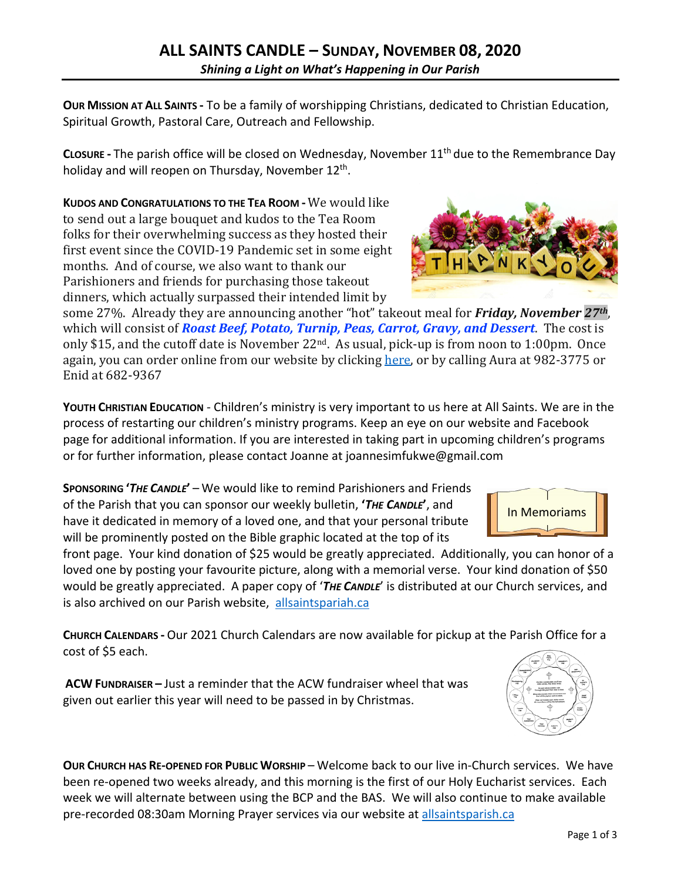**OUR MISSION AT ALL SAINTS -** To be a family of worshipping Christians, dedicated to Christian Education, Spiritual Growth, Pastoral Care, Outreach and Fellowship.

**CLOSURE -** The parish office will be closed on Wednesday, November 11th due to the Remembrance Day holiday and will reopen on Thursday, November  $12<sup>th</sup>$ .

**KUDOS AND CONGRATULATIONS TO THE TEA ROOM -** We would like to send out a large bouquet and kudos to the Tea Room folks for their overwhelming success as they hosted their first event since the COVID-19 Pandemic set in some eight months. And of course, we also want to thank our Parishioners and friends for purchasing those takeout dinners, which actually surpassed their intended limit by

some 27%. Already they are announcing another "hot" takeout meal for **Friday, November** 27<sup>th</sup>, which will consist of **Roast Beef, Potato, Turnip, Peas, Carrot, Gravy, and Dessert**. The cost is only \$15, and the cutoff date is November  $22^{nd}$ . As usual, pick-up is from noon to 1:00pm. Once again, you can order online from our website by clicking here, or by calling Aura at 982-3775 or Enid at 682-9367

**YOUTH CHRISTIAN EDUCATION** - Children's ministry is very important to us here at All Saints. We are in the process of restarting our children's ministry programs. Keep an eye on our website and Facebook page for additional information. If you are interested in taking part in upcoming children's programs or for further information, please contact Joanne at joannesimfukwe@gmail.com

**SPONSORING '***THE CANDLE***'** – We would like to remind Parishioners and Friends of the Parish that you can sponsor our weekly bulletin, **'***THE CANDLE***'**, and have it dedicated in memory of a loved one, and that your personal tribute will be prominently posted on the Bible graphic located at the top of its

front page. Your kind donation of \$25 would be greatly appreciated. Additionally, you can honor of a loved one by posting your favourite picture, along with a memorial verse. Your kind donation of \$50 would be greatly appreciated. A paper copy of '*THE CANDLE*' is distributed at our Church services, and is also archived on our Parish website, allsaintspariah.ca

**CHURCH CALENDARS -** Our 2021 Church Calendars are now available for pickup at the Parish Office for a cost of \$5 each.

**ACW FUNDRAISER –** Just a reminder that the ACW fundraiser wheel that was given out earlier this year will need to be passed in by Christmas.

**OUR CHURCH HAS RE-OPENED FOR PUBLIC WORSHIP** – Welcome back to our live in-Church services. We have been re-opened two weeks already, and this morning is the first of our Holy Eucharist services. Each week we will alternate between using the BCP and the BAS. We will also continue to make available pre-recorded 08:30am Morning Prayer services via our website at allsaintsparish.ca